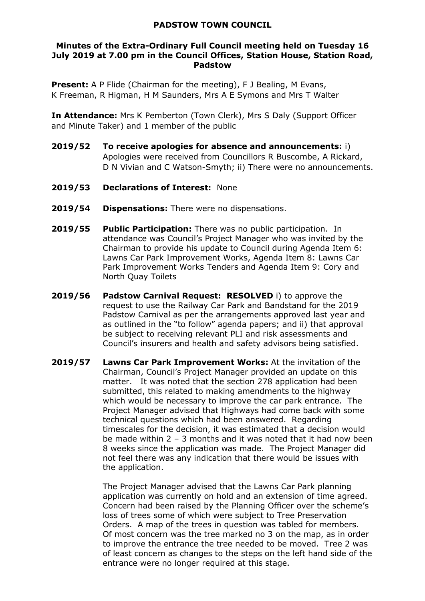## **PADSTOW TOWN COUNCIL**

## **Minutes of the Extra-Ordinary Full Council meeting held on Tuesday 16 July 2019 at 7.00 pm in the Council Offices, Station House, Station Road, Padstow**

**Present:** A P Flide (Chairman for the meeting), F J Bealing, M Evans, K Freeman, R Higman, H M Saunders, Mrs A E Symons and Mrs T Walter

**In Attendance:** Mrs K Pemberton (Town Clerk), Mrs S Daly (Support Officer and Minute Taker) and 1 member of the public

- **2019/52 To receive apologies for absence and announcements:** i) Apologies were received from Councillors R Buscombe, A Rickard, D N Vivian and C Watson-Smyth; ii) There were no announcements.
- **2019/53 Declarations of Interest:** None
- **2019/54 Dispensations:** There were no dispensations.
- **2019/55 Public Participation:** There was no public participation. In attendance was Council's Project Manager who was invited by the Chairman to provide his update to Council during Agenda Item 6: Lawns Car Park Improvement Works, Agenda Item 8: Lawns Car Park Improvement Works Tenders and Agenda Item 9: Cory and North Quay Toilets
- **2019/56 Padstow Carnival Request: RESOLVED** i) to approve the request to use the Railway Car Park and Bandstand for the 2019 Padstow Carnival as per the arrangements approved last year and as outlined in the "to follow" agenda papers; and ii) that approval be subject to receiving relevant PLI and risk assessments and Council's insurers and health and safety advisors being satisfied.
- **2019/57 Lawns Car Park Improvement Works:** At the invitation of the Chairman, Council's Project Manager provided an update on this matter. It was noted that the section 278 application had been submitted, this related to making amendments to the highway which would be necessary to improve the car park entrance. The Project Manager advised that Highways had come back with some technical questions which had been answered. Regarding timescales for the decision, it was estimated that a decision would be made within 2 – 3 months and it was noted that it had now been 8 weeks since the application was made. The Project Manager did not feel there was any indication that there would be issues with the application.

The Project Manager advised that the Lawns Car Park planning application was currently on hold and an extension of time agreed. Concern had been raised by the Planning Officer over the scheme's loss of trees some of which were subject to Tree Preservation Orders. A map of the trees in question was tabled for members. Of most concern was the tree marked no 3 on the map, as in order to improve the entrance the tree needed to be moved. Tree 2 was of least concern as changes to the steps on the left hand side of the entrance were no longer required at this stage.